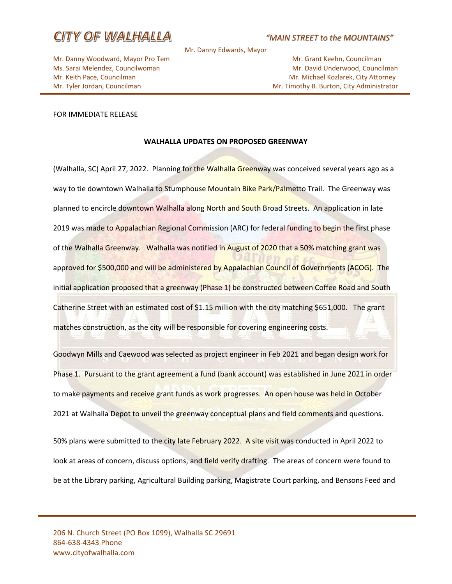

### *"MAIN STREET to the MOUNTAINS"*

Mr. Danny Edwards, Mayor

Mr. Danny Woodward, Mayor Pro Tem Mr. Grant Keehn, Councilman

Ms. Sarai Melendez, Councilwoman Mr. David Underwood, Councilman Mr. David Underwood, Councilman Mr. Keith Pace, Councilman Mr. Michael Kozlarek, City Attorney Mr. Tyler Jordan, Councilman Mr. Tyler Jordan, Councilman Mr. Timothy B. Burton, City Administrator

#### FOR IMMEDIATE RELEASE

#### **WALHALLA UPDATES ON PROPOSED GREENWAY**

(Walhalla, SC) April 27, 2022. Planning for the Walhalla Greenway was conceived several years ago as a way to tie downtown Walhalla to Stumphouse Mountain Bike Park/Palmetto Trail. The Greenway was planned to encircle downtown Walhalla along North and South Broad Streets. An application in late 2019 was made to Appalachian Regional Commission (ARC) for federal funding to begin the first phase of the Walhalla Greenway. Walhalla was notified in August of 2020 that a 50% matching grant was approved for \$500,000 and will be administered by Appalachian Council of Governments (ACOG). The initial application proposed that a greenway (Phase 1) be constructed between Coffee Road and South Catherine Street with an estimated cost of \$1.15 million with the city matching \$651,000. The grant matches construction, as the city will be responsible for covering engineering costs.

Goodwyn Mills and Caewood was selected as project engineer in Feb 2021 and began design work for Phase 1. Pursuant to the grant agreement a fund (bank account) was established in June 2021 in order to make payments and receive grant funds as work progresses. An open house was held in October 2021 at Walhalla Depot to unveil the greenway conceptual plans and field comments and questions.

50% plans were submitted to the city late February 2022. A site visit was conducted in April 2022 to look at areas of concern, discuss options, and field verify drafting. The areas of concern were found to be at the Library parking, Agricultural Building parking, Magistrate Court parking, and Bensons Feed and